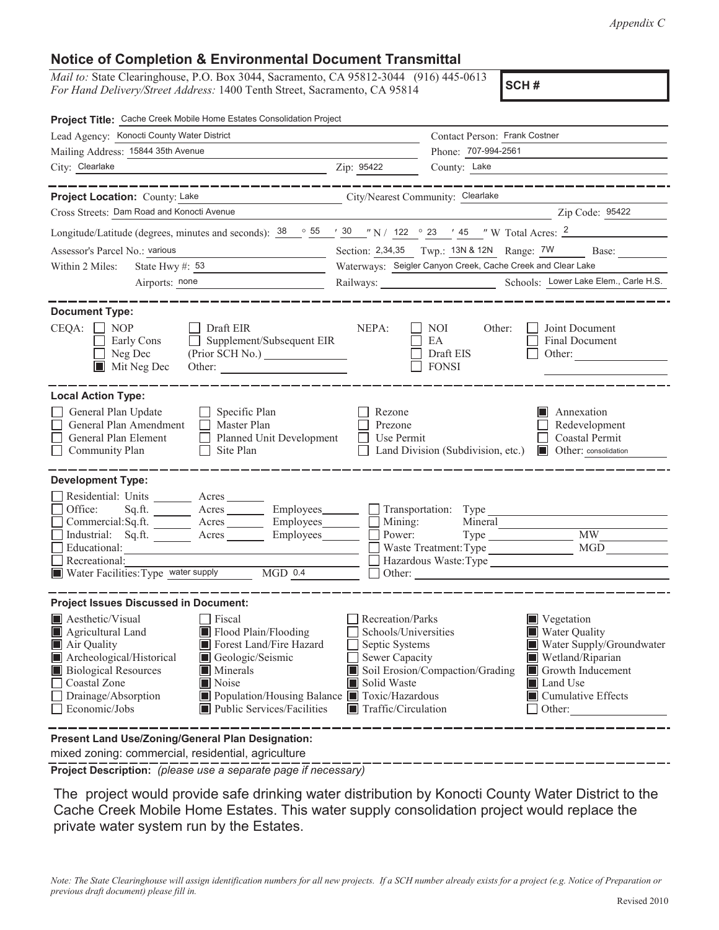*Appendix C*

## **Notice of Completion & Environmental Document Transmittal**

*Mail to:* State Clearinghouse, P.O. Box 3044, Sacramento, CA 95812-3044 (916) 445-0613 *For Hand Delivery/Street Address:* 1400 Tenth Street, Sacramento, CA 95814

**SCH #**

| Project Title: Cache Creek Mobile Home Estates Consolidation Project                                                                                                                                                                                                                                                                                                           |                                                                                                                                         |                                                  |                                                                                                                                                                    |  |
|--------------------------------------------------------------------------------------------------------------------------------------------------------------------------------------------------------------------------------------------------------------------------------------------------------------------------------------------------------------------------------|-----------------------------------------------------------------------------------------------------------------------------------------|--------------------------------------------------|--------------------------------------------------------------------------------------------------------------------------------------------------------------------|--|
| Lead Agency: Konocti County Water District                                                                                                                                                                                                                                                                                                                                     |                                                                                                                                         | Contact Person: Frank Costner                    |                                                                                                                                                                    |  |
| Mailing Address: 15844 35th Avenue                                                                                                                                                                                                                                                                                                                                             | Phone: 707-994-2561                                                                                                                     |                                                  |                                                                                                                                                                    |  |
| City: Clearlake                                                                                                                                                                                                                                                                                                                                                                | Zip: 95422                                                                                                                              | County: Lake                                     |                                                                                                                                                                    |  |
| -----------                                                                                                                                                                                                                                                                                                                                                                    |                                                                                                                                         |                                                  |                                                                                                                                                                    |  |
| Project Location: County: Lake<br>City/Nearest Community: Clearlake                                                                                                                                                                                                                                                                                                            |                                                                                                                                         |                                                  |                                                                                                                                                                    |  |
| Cross Streets: Dam Road and Konocti Avenue                                                                                                                                                                                                                                                                                                                                     |                                                                                                                                         |                                                  | Zip Code: 95422                                                                                                                                                    |  |
| Longitude/Latitude (degrees, minutes and seconds): $38 \cdot 955 \cdot 130 \cdot 142$ $\cdot 23$ $\cdot 45$ $\cdot 7$ W Total Acres: 2                                                                                                                                                                                                                                         |                                                                                                                                         |                                                  |                                                                                                                                                                    |  |
| Assessor's Parcel No.: various<br><u> 1990 - Johann Barbara, politik eta politik eta politik eta politik eta politik eta politik eta politik eta p</u>                                                                                                                                                                                                                         |                                                                                                                                         |                                                  | Section: 2,34,35 Twp.: 13N & 12N Range: 7W Base:                                                                                                                   |  |
| State Hwy #: $53$<br>Within 2 Miles:                                                                                                                                                                                                                                                                                                                                           | Waterways: Seigler Canyon Creek, Cache Creek and Clear Lake                                                                             |                                                  |                                                                                                                                                                    |  |
| Airports: none<br><u> 1989 - Johann Barbara, martin a</u>                                                                                                                                                                                                                                                                                                                      |                                                                                                                                         |                                                  | Railways: Schools: Lower Lake Elem., Carle H.S.                                                                                                                    |  |
| <b>Document Type:</b><br>$CEQA: \Box NP$<br>$\Box$ Draft EIR<br>Supplement/Subsequent EIR<br>Early Cons<br>Neg Dec<br>$\blacksquare$<br>$\blacksquare$ Mit Neg Dec                                                                                                                                                                                                             | NEPA:                                                                                                                                   | NOI<br>Other:<br>EA<br>Draft EIS<br><b>FONSI</b> | Joint Document<br><b>Final Document</b><br>Other:                                                                                                                  |  |
| <b>Local Action Type:</b><br>General Plan Update<br>$\Box$ Specific Plan<br>General Plan Amendment<br>$\Box$ Master Plan<br>General Plan Element<br>$\Box$ Planned Unit Development<br>Community Plan<br>Site Plan<br>$\perp$                                                                                                                                                  | Rezone<br>Prezone<br>Use Permit                                                                                                         | Land Division (Subdivision, etc.)                | Annexation<br>I I<br>Redevelopment<br>Coastal Permit<br>Other: consolidation<br><b>In the set</b>                                                                  |  |
| <b>Development Type:</b>                                                                                                                                                                                                                                                                                                                                                       |                                                                                                                                         |                                                  |                                                                                                                                                                    |  |
| Residential: Units ________ Acres ______<br>Office:<br>Sq.ft. ________ Acres _________ Employees________ __ Transportation: Type _________________________<br>Commercial:Sq.ft. _______ Acres ________ Employees________ $\Box$<br>Industrial: Sq.ft. _______ Acres ________ Employees _______<br>Educational:<br>Recreational:<br>Water Facilities: Type water supply MGD 0.4 | Mining:<br>Power:                                                                                                                       | Mineral<br>Waste Treatment: Type                 | $\overline{\text{MW}}$<br>MGD<br>Hazardous Waste:Type                                                                                                              |  |
| <b>Project Issues Discussed in Document:</b>                                                                                                                                                                                                                                                                                                                                   |                                                                                                                                         |                                                  |                                                                                                                                                                    |  |
| Aesthetic/Visual<br>Fiscal<br>Agricultural Land<br>Flood Plain/Flooding<br>Forest Land/Fire Hazard<br>Air Quality<br>Archeological/Historical<br>Geologic/Seismic<br><b>Biological Resources</b><br>Minerals<br>Coastal Zone<br>Noise<br>Drainage/Absorption<br>Population/Housing Balance Toxic/Hazardous<br>Economic/Jobs<br>Public Services/Facilities                      | Recreation/Parks<br>Schools/Universities<br>Septic Systems<br>Sewer Capacity<br>Solid Waste<br>IШ<br>$\blacksquare$ Traffic/Circulation | Soil Erosion/Compaction/Grading                  | Vegetation<br><b>Water Quality</b><br>Water Supply/Groundwater<br>Wetland/Riparian<br>Growth Inducement<br>Land Use<br>$\blacksquare$ Cumulative Effects<br>Other: |  |
| Present Land Use/Zoning/General Plan Designation:                                                                                                                                                                                                                                                                                                                              |                                                                                                                                         |                                                  |                                                                                                                                                                    |  |

mixed zoning: commercial, residential, agriculture

**Project Description:** *(please use a separate page if necessary)*

 The project would provide safe drinking water distribution by Konocti County Water District to the Cache Creek Mobile Home Estates. This water supply consolidation project would replace the private water system run by the Estates.